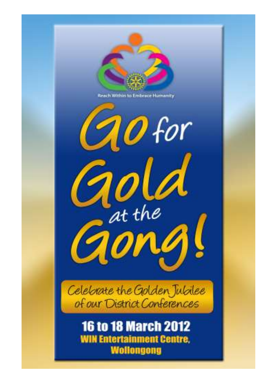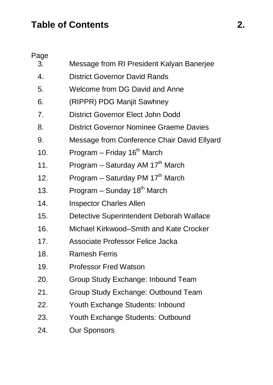# **Table of Contents 2.**

Page

| 3.           | Message from RI President Kalyan Banerjee    |
|--------------|----------------------------------------------|
| $\mathbf{4}$ | District Governor David Rands                |
| 5.           | Welcome from DG David and Anne               |
| 6.           | (RIPPR) PDG Manjit Sawhney                   |
| 7.           | District Governor Elect John Dodd            |
| 8.           | District Governor Nominee Graeme Davies      |
| 9.           | Message from Conference Chair David Ellyard  |
| 10.          | Program - Friday 16 <sup>th</sup> March      |
| 11.          | Program - Saturday AM 17 <sup>th</sup> March |
| 12.          | Program - Saturday PM 17 <sup>th</sup> March |
| 13.          | Program - Sunday 18 <sup>th</sup> March      |
| 14.          | <b>Inspector Charles Allen</b>               |
| 15.          | Detective Superintendent Deborah Wallace     |
| 16.          | Michael Kirkwood-Smith and Kate Crocker      |
| 17.          | Associate Professor Felice Jacka             |
| 18.          | Ramesh Ferris                                |
| 19.          | <b>Professor Fred Watson</b>                 |
| 20.          | Group Study Exchange: Inbound Team           |
| 21.          | Group Study Exchange: Outbound Team          |
| 22.          | Youth Exchange Students: Inbound             |
| 23.          | Youth Exchange Students: Outbound            |
| 24.          | Our Sponsors                                 |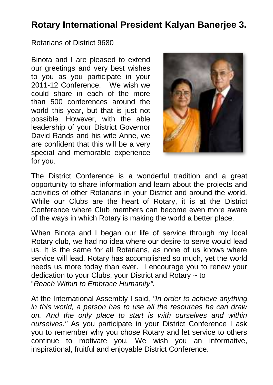### **Rotary International President Kalyan Banerjee 3.**

Rotarians of District 9680

Binota and I are pleased to extend our greetings and very best wishes to you as you participate in your 2011-12 Conference. We wish we could share in each of the more than 500 conferences around the world this year, but that is just not possible. However, with the able leadership of your District Governor David Rands and his wife Anne, we are confident that this will be a very special and memorable experience for you.



The District Conference is a wonderful tradition and a great opportunity to share information and learn about the projects and activities of other Rotarians in your District and around the world. While our Clubs are the heart of Rotary, it is at the District Conference where Club members can become even more aware of the ways in which Rotary is making the world a better place.

When Binota and I began our life of service through my local Rotary club, we had no idea where our desire to serve would lead us. It is the same for all Rotarians, as none of us knows where service will lead. Rotary has accomplished so much, yet the world needs us more today than ever. I encourage you to renew your dedication to your Clubs, your District and Rotary ~ to "*Reach Within to Embrace Humanity"*.

At the International Assembly I said, *"In order to achieve anything in this world, a person has to use all the resources he can draw on. And the only place to start is with ourselves and within ourselves."* As you participate in your District Conference I ask you to remember why you chose Rotary and let service to others continue to motivate you. We wish you an informative, inspirational, fruitful and enjoyable District Conference.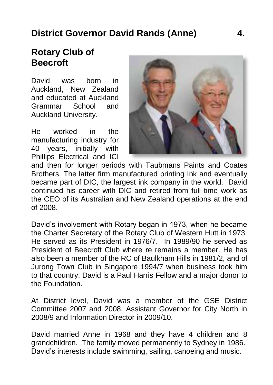## **District Governor David Rands (Anne) 4.**

#### **Rotary Club of Beecroft**

David was born in Auckland, New Zealand and educated at Auckland Grammar School and Auckland University.

He worked in the manufacturing industry for 40 years, initially with Phillips Electrical and ICI



and then for longer periods with Taubmans Paints and Coates Brothers. The latter firm manufactured printing Ink and eventually became part of DIC, the largest ink company in the world. David continued his career with DIC and retired from full time work as the CEO of its Australian and New Zealand operations at the end of 2008.

David's involvement with Rotary began in 1973, when he became the Charter Secretary of the Rotary Club of Western Hutt in 1973. He served as its President in 1976/7. In 1989/90 he served as President of Beecroft Club where re remains a member. He has also been a member of the RC of Baulkham Hills in 1981/2, and of Jurong Town Club in Singapore 1994/7 when business took him to that country. David is a Paul Harris Fellow and a major donor to the Foundation.

At District level, David was a member of the GSE District Committee 2007 and 2008, Assistant Governor for City North in 2008/9 and Information Director in 2009/10.

David married Anne in 1968 and they have 4 children and 8 grandchildren. The family moved permanently to Sydney in 1986. David's interests include swimming, sailing, canoeing and music.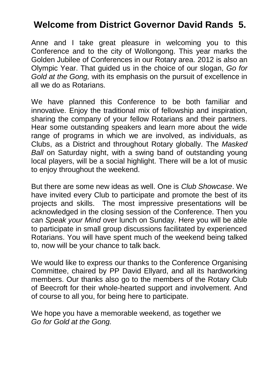### **Welcome from District Governor David Rands 5.**

Anne and I take great pleasure in welcoming you to this Conference and to the city of Wollongong. This year marks the Golden Jubilee of Conferences in our Rotary area. 2012 is also an Olympic Year. That guided us in the choice of our slogan, *Go for Gold at the Gong,* with its emphasis on the pursuit of excellence in all we do as Rotarians.

We have planned this Conference to be both familiar and innovative. Enjoy the traditional mix of fellowship and inspiration, sharing the company of your fellow Rotarians and their partners. Hear some outstanding speakers and learn more about the wide range of programs in which we are involved, as individuals, as Clubs, as a District and throughout Rotary globally. The *Masked Ball* on Saturday night, with a swing band of outstanding young local players, will be a social highlight. There will be a lot of music to enjoy throughout the weekend.

But there are some new ideas as well. One is *Club Showcase*. We have invited every Club to participate and promote the best of its projects and skills. The most impressive presentations will be acknowledged in the closing session of the Conference. Then you can *Speak your Mind* over lunch on Sunday. Here you will be able to participate in small group discussions facilitated by experienced Rotarians. You will have spent much of the weekend being talked to, now will be your chance to talk back.

We would like to express our thanks to the Conference Organising Committee, chaired by PP David Ellyard, and all its hardworking members. Our thanks also go to the members of the Rotary Club of Beecroft for their whole-hearted support and involvement. And of course to all you, for being here to participate.

We hope you have a memorable weekend, as together we *Go for Gold at the Gong.*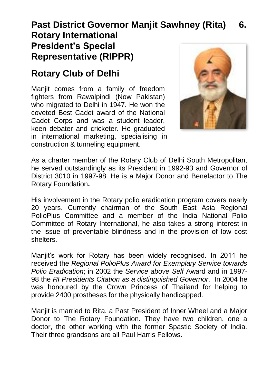#### **Past District Governor Manjit Sawhney (Rita) 6. Rotary International President's Special Representative (RIPPR)**

## **Rotary Club of Delhi**

Manjit comes from a family of freedom fighters from Rawalpindi (Now Pakistan) who migrated to Delhi in 1947. He won the coveted Best Cadet award of the National Cadet Corps and was a student leader, keen debater and cricketer. He graduated in international marketing, specialising in construction & tunneling equipment.



As a charter member of the Rotary Club of Delhi South Metropolitan, he served outstandingly as its President in 1992-93 and Governor of District 3010 in 1997-98. He is a Major Donor and Benefactor to The Rotary Foundation**.** 

His involvement in the Rotary polio eradication program covers nearly 20 years. Currently chairman of the South East Asia Regional PolioPlus Committee and a member of the India National Polio Committee of Rotary International, he also takes a strong interest in the issue of preventable blindness and in the provision of low cost shelters.

Manjit's work for Rotary has been widely recognised. In 2011 he received the *Regional PolioPlus Award for Exemplary Service towards Polio Eradication*; in 2002 the *Service above Self* Award and in 1997- 98 the *RI Presidents Citation as a distinguished Governor*. In 2004 he was honoured by the Crown Princess of Thailand for helping to provide 2400 prostheses for the physically handicapped.

Manjit is married to Rita, a Past President of Inner Wheel and a Major Donor to The Rotary Foundation. They have two children, one a doctor, the other working with the former Spastic Society of India. Their three grandsons are all Paul Harris Fellows.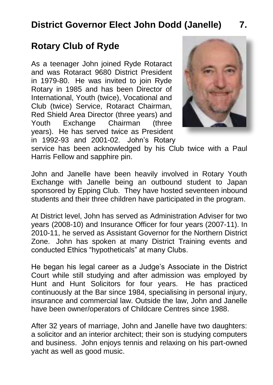## **District Governor Elect John Dodd (Janelle) 7.**

#### **Rotary Club of Ryde**

As a teenager John joined Ryde Rotaract and was Rotaract 9680 District President in 1979-80. He was invited to join Ryde Rotary in 1985 and has been Director of International, Youth (twice), Vocational and Club (twice) Service, Rotaract Chairman, Red Shield Area Director (three years) and Youth Exchange Chairman (three years). He has served twice as President in 1992-93 and 2001-02. John's Rotary



service has been acknowledged by his Club twice with a Paul Harris Fellow and sapphire pin.

John and Janelle have been heavily involved in Rotary Youth Exchange with Janelle being an outbound student to Japan sponsored by Epping Club. They have hosted seventeen inbound students and their three children have participated in the program.

At District level, John has served as Administration Adviser for two years (2008-10) and Insurance Officer for four years (2007-11). In 2010-11, he served as Assistant Governor for the Northern District Zone. John has spoken at many District Training events and conducted Ethics "hypotheticals" at many Clubs.

He began his legal career as a Judge's Associate in the District Court while still studying and after admission was employed by Hunt and Hunt Solicitors for four years. He has practiced continuously at the Bar since 1984, specialising in personal injury, insurance and commercial law. Outside the law, John and Janelle have been owner/operators of Childcare Centres since 1988.

After 32 years of marriage, John and Janelle have two daughters: a solicitor and an interior architect; their son is studying computers and business. John enjoys tennis and relaxing on his part-owned yacht as well as good music.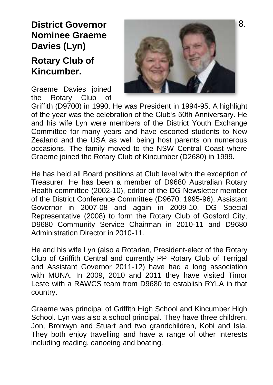#### **District Governor Nominee Graeme Davies (Lyn)**

#### **Rotary Club of Kincumber.**

Graeme Davies joined the Rotary Club of



Griffith (D9700) in 1990. He was President in 1994-95. A highlight of the year was the celebration of the Club's 50th Anniversary. He and his wife Lyn were members of the District Youth Exchange Committee for many years and have escorted students to New Zealand and the USA as well being host parents on numerous occasions. The family moved to the NSW Central Coast where Graeme joined the Rotary Club of Kincumber (D2680) in 1999.

He has held all Board positions at Club level with the exception of Treasurer. He has been a member of D9680 Australian Rotary Health committee (2002-10), editor of the DG Newsletter member of the District Conference Committee (D9670; 1995-96), Assistant Governor in 2007-08 and again in 2009-10, DG Special Representative (2008) to form the Rotary Club of Gosford City, D9680 Community Service Chairman in 2010-11 and D9680 Administration Director in 2010-11.

He and his wife Lyn (also a Rotarian, President-elect of the Rotary Club of Griffith Central and currently PP Rotary Club of Terrigal and Assistant Governor 2011-12) have had a long association with MUNA. In 2009, 2010 and 2011 they have visited Timor Leste with a RAWCS team from D9680 to establish RYLA in that country.

Graeme was principal of Griffith High School and Kincumber High School. Lyn was also a school principal. They have three children, Jon, Bronwyn and Stuart and two grandchildren, Kobi and Isla. They both enjoy travelling and have a range of other interests including reading, canoeing and boating.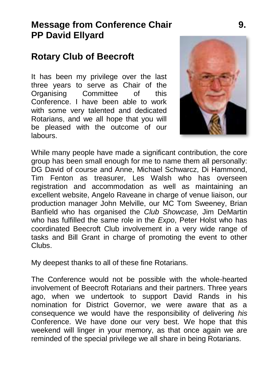#### **Message from Conference Chair 9. PP David Ellyard**

#### **Rotary Club of Beecroft**

It has been my privilege over the last three years to serve as Chair of the<br>Organising Committee of this Committee Conference. I have been able to work with some very talented and dedicated Rotarians, and we all hope that you will be pleased with the outcome of our labours.



While many people have made a significant contribution, the core group has been small enough for me to name them all personally: DG David of course and Anne, Michael Schwarcz, Di Hammond, Tim Fenton as treasurer, Les Walsh who has overseen registration and accommodation as well as maintaining an excellent website, Angelo Raveane in charge of venue liaison, our production manager John Melville, our MC Tom Sweeney, Brian Banfield who has organised the *Club Showcase,* Jim DeMartin who has fulfilled the same role in the *Expo*, Peter Holst who has coordinated Beecroft Club involvement in a very wide range of tasks and Bill Grant in charge of promoting the event to other Clubs.

My deepest thanks to all of these fine Rotarians.

The Conference would not be possible with the whole-hearted involvement of Beecroft Rotarians and their partners. Three years ago, when we undertook to support David Rands in his nomination for District Governor, we were aware that as a consequence we would have the responsibility of delivering *his* Conference. We have done our very best. We hope that this weekend will linger in your memory, as that once again we are reminded of the special privilege we all share in being Rotarians.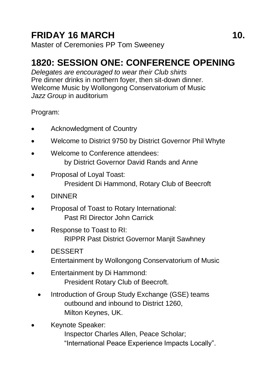# **FRIDAY 16 MARCH 10.** 10

Master of Ceremonies PP Tom Sweeney

## **1820: SESSION ONE: CONFERENCE OPENING**

*Delegates are encouraged to wear their Club shirts* Pre dinner drinks in northern foyer, then sit-down dinner. Welcome Music by Wollongong Conservatorium of Music *Jazz Group* in auditorium

#### Program:

- Acknowledgment of Country
- Welcome to District 9750 by District Governor Phil Whyte
- Welcome to Conference attendees: by District Governor David Rands and Anne
- Proposal of Loyal Toast: President Di Hammond, Rotary Club of Beecroft
- DINNER
- Proposal of Toast to Rotary International: Past RI Director John Carrick
- Response to Toast to RI: RIPPR Past District Governor Manjit Sawhney
- DESSERT Entertainment by Wollongong Conservatorium of Music
- Entertainment by Di Hammond: President Rotary Club of Beecroft.
	- Introduction of Group Study Exchange (GSE) teams outbound and inbound to District 1260, Milton Keynes, UK.
- Keynote Speaker:
	- Inspector Charles Allen, Peace Scholar; "International Peace Experience Impacts Locally".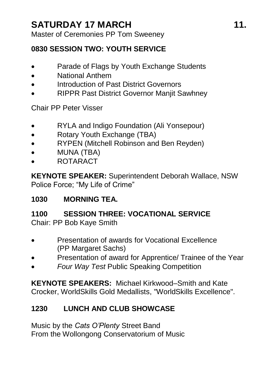Master of Ceremonies PP Tom Sweeney

#### **0830 SESSION TWO: YOUTH SERVICE**

- Parade of Flags by Youth Exchange Students
- National Anthem
- Introduction of Past District Governors
- RIPPR Past District Governor Manjit Sawhney

Chair PP Peter Visser

- RYLA and Indigo Foundation (Ali Yonsepour)
- Rotary Youth Exchange (TBA)
- RYPEN (Mitchell Robinson and Ben Revden)
- MUNA (TBA)
- ROTARACT

**KEYNOTE SPEAKER:** Superintendent Deborah Wallace, NSW Police Force; "My Life of Crime"

#### **1030 MORNING TEA.**

#### **1100 SESSION THREE: VOCATIONAL SERVICE**

Chair: PP Bob Kaye Smith

- Presentation of awards for Vocational Excellence (PP Margaret Sachs)
- Presentation of award for Apprentice/ Trainee of the Year
- *Four Way Test* Public Speaking Competition

**KEYNOTE SPEAKERS:** Michael Kirkwood–Smith and Kate Crocker, WorldSkills Gold Medallists, "WorldSkills Excellence".

#### **1230 LUNCH AND CLUB SHOWCASE**

Music by the *Cats O'Plenty* Street Band From the Wollongong Conservatorium of Music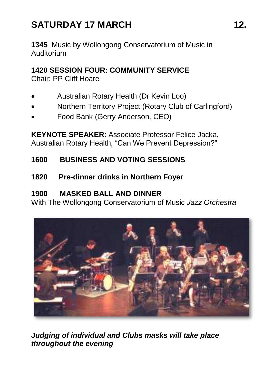# SATURDAY 17 MARCH 12.

**1345** Music by Wollongong Conservatorium of Music in Auditorium

#### **1420 SESSION FOUR: COMMUNITY SERVICE**

Chair: PP Cliff Hoare

- Australian Rotary Health (Dr Kevin Loo)
- Northern Territory Project (Rotary Club of Carlingford)
- Food Bank (Gerry Anderson, CEO)

**KEYNOTE SPEAKER**: Associate Professor Felice Jacka, Australian Rotary Health, "Can We Prevent Depression?"

#### **1600 BUSINESS AND VOTING SESSIONS**

**1820 Pre-dinner drinks in Northern Foyer**

#### **1900 MASKED BALL AND DINNER**

With The Wollongong Conservatorium of Music *Jazz Orchestra* 



*Judging of individual and Clubs masks will take place throughout the evening*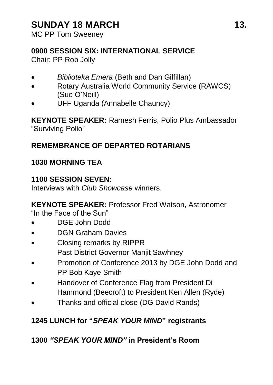## SUNDAY 18 MARCH 13.

MC PP Tom Sweeney

#### **0900 SESSION SIX: INTERNATIONAL SERVICE**

Chair: PP Rob Jolly

- *Biblioteka Emera* (Beth and Dan Gilfillan)
- Rotary Australia World Community Service (RAWCS) (Sue O'Neill)
- UFF Uganda (Annabelle Chauncy)

**KEYNOTE SPEAKER:** Ramesh Ferris, Polio Plus Ambassador "Surviving Polio"

#### **REMEMBRANCE OF DEPARTED ROTARIANS**

#### **1030 MORNING TEA**

#### **1100 SESSION SEVEN:**

Interviews with *Club Showcase* winners.

**KEYNOTE SPEAKER:** Professor Fred Watson, Astronomer "In the Face of the Sun"

- 
- DGE John Dodd
- DGN Graham Davies
- Closing remarks by RIPPR Past District Governor Manjit Sawhney
- Promotion of Conference 2013 by DGE John Dodd and PP Bob Kaye Smith
- Handover of Conference Flag from President Di Hammond (Beecroft) to President Ken Allen (Ryde)
- Thanks and official close (DG David Rands)

#### **1245 LUNCH for "***SPEAK YOUR MIND***" registrants**

#### **1300** *"SPEAK YOUR MIND"* **in President's Room**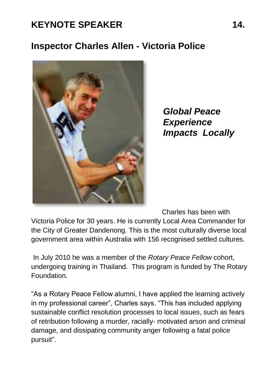## KEYNOTE SPEAKER 14.

#### **Inspector Charles Allen - Victoria Police**



*Global Peace Experience Impacts Locally* 

Charles has been with

Victoria Police for 30 years. He is currently Local Area Commander for the City of Greater Dandenong. This is the most culturally diverse local government area within Australia with 156 recognised settled cultures.

In July 2010 he was a member of the *Rotary Peace Fellow* cohort, undergoing training in Thailand. This program is funded by The Rotary Foundation.

"As a Rotary Peace Fellow alumni, I have applied the learning actively in my professional career", Charles says. "This has included applying sustainable conflict resolution processes to local issues, such as fears of retribution following a murder, racially- motivated arson and criminal damage, and dissipating community anger following a fatal police pursuit".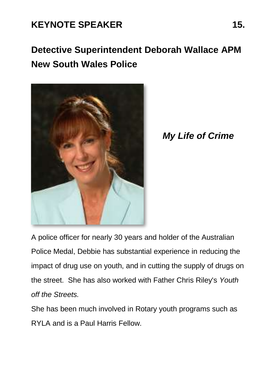## KEYNOTE SPEAKER 15.

# **Detective Superintendent Deborah Wallace APM New South Wales Police**



*My Life of Crime*

A police officer for nearly 30 years and holder of the Australian Police Medal, Debbie has substantial experience in reducing the impact of drug use on youth, and in cutting the supply of drugs on the street. She has also worked with Father Chris Riley's *Youth off the Streets.*

She has been much involved in Rotary youth programs such as RYLA and is a Paul Harris Fellow.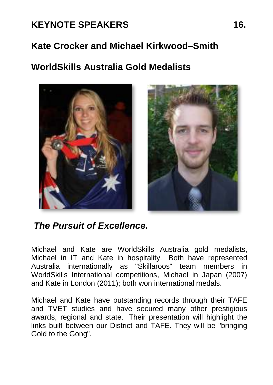# KEYNOTE SPEAKERS 16.

### **Kate Crocker and Michael Kirkwood–Smith**

## **WorldSkills Australia Gold Medalists**



*The Pursuit of Excellence.*

Michael and Kate are WorldSkills Australia gold medalists, Michael in IT and Kate in hospitality. Both have represented Australia internationally as "Skillaroos" team members in WorldSkills International competitions, Michael in Japan (2007) and Kate in London (2011); both won international medals.

Michael and Kate have outstanding records through their TAFE and TVET studies and have secured many other prestigious awards, regional and state. Their presentation will highlight the links built between our District and TAFE. They will be "bringing Gold to the Gong".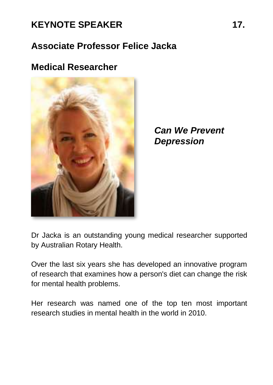## KEYNOTE SPEAKER 17.

## **Associate Professor Felice Jacka**

### **Medical Researcher**



*Can We Prevent Depression* 

Dr Jacka is an outstanding young medical researcher supported by Australian Rotary Health.

Over the last six years she has developed an innovative program of research that examines how a person's diet can change the risk for mental health problems.

Her research was named one of the top ten most important research studies in mental health in the world in 2010.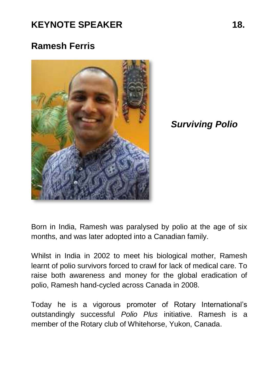## **KEYNOTE SPEAKER 18.**

### **Ramesh Ferris**



*Surviving Polio* 

Born in India, Ramesh was paralysed by polio at the age of six months, and was later adopted into a Canadian family.

Whilst in India in 2002 to meet his biological mother, Ramesh learnt of polio survivors forced to crawl for lack of medical care. To raise both awareness and money for the global eradication of polio, Ramesh hand-cycled across Canada in 2008.

Today he is a vigorous promoter of Rotary International's outstandingly successful *Polio Plus* initiative. Ramesh is a member of the Rotary club of Whitehorse, Yukon, Canada.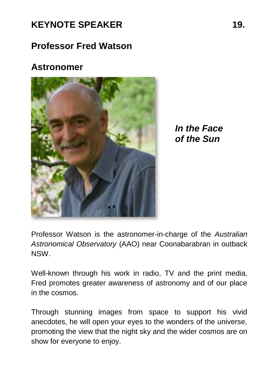### **Professor Fred Watson**

#### **Astronomer**



*In the Face of the Sun* 

Professor Watson is the astronomer-in-charge of the *Australian Astronomical Observatory* (AAO) near Coonabarabran in outback NSW.

Well-known through his work in radio, TV and the print media, Fred promotes greater awareness of astronomy and of our place in the cosmos.

Through stunning images from space to support his vivid anecdotes, he will open your eyes to the wonders of the universe, promoting the view that the night sky and the wider cosmos are on show for everyone to enjoy.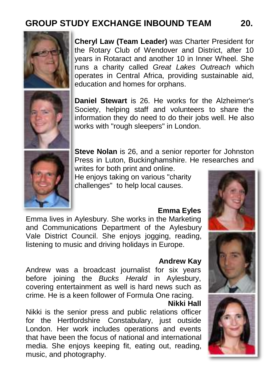## **GROUP STUDY EXCHANGE INBOUND TEAM 20.**



**Cheryl Law (Team Leader)** was Charter President for the Rotary Club of Wendover and District, after 10 years in Rotaract and another 10 in Inner Wheel. She runs a charity called *Great Lakes Outreach* which operates in Central Africa, providing sustainable aid, education and homes for orphans.



**Daniel Stewart** is 26. He works for the Alzheimer's Society, helping staff and volunteers to share the information they do need to do their jobs well. He also works with "rough sleepers" in London.



**Steve Nolan** is 26, and a senior reporter for Johnston Press in Luton, Buckinghamshire. He researches and writes for both print and online.

He enjoys taking on various "charity challenges" to help local causes.

#### **Emma Eyles**

Emma lives in Aylesbury. She works in the Marketing and Communications Department of the Aylesbury Vale District Council. She enjoys jogging, reading, listening to music and driving holidays in Europe.

#### **Andrew Kay**

Andrew was a broadcast journalist for six years before joining the *Bucks Herald* in Aylesbury, covering entertainment as well is hard news such as crime. He is a keen follower of Formula One racing.

### **Nikki Hall**

Nikki is the senior press and public relations officer for the Hertfordshire Constabulary, just outside London. Her work includes operations and events that have been the focus of national and international media. She enjoys keeping fit, eating out, reading, music, and photography.



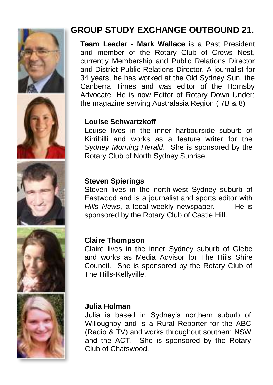









## **GROUP STUDY EXCHANGE OUTBOUND 21.**

**Team Leader - Mark Wallace** is a Past President and member of the Rotary Club of Crows Nest, currently Membership and Public Relations Director and District Public Relations Director. A journalist for 34 years, he has worked at the Old Sydney Sun, the Canberra Times and was editor of the Hornsby Advocate. He is now Editor of Rotary Down Under; the magazine serving Australasia Region ( 7B & 8)

#### **Louise Schwartzkoff**

Louise lives in the inner harbourside suburb of Kirribilli and works as a feature writer for the *Sydney Morning Herald*. She is sponsored by the Rotary Club of North Sydney Sunrise.

#### **Steven Spierings**

Steven lives in the north-west Sydney suburb of Eastwood and is a journalist and sports editor with Hills News, a local weekly newspaper. He is sponsored by the Rotary Club of Castle Hill.

#### **Claire Thompson**

Claire lives in the inner Sydney suburb of Glebe and works as Media Advisor for The Hiils Shire Council. She is sponsored by the Rotary Club of The Hills-Kellyville.

#### **Julia Holman**

Julia is based in Sydney's northern suburb of Willoughby and is a Rural Reporter for the ABC (Radio & TV) and works throughout southern NSW and the ACT. She is sponsored by the Rotary Club of Chatswood.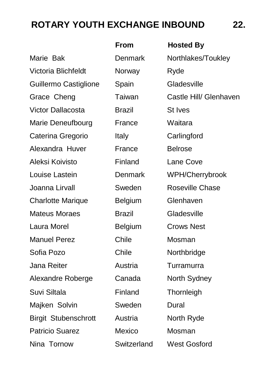# **ROTARY YOUTH EXCHANGE INBOUND 22.**

|                          | From          | <b>Hosted By</b>       |
|--------------------------|---------------|------------------------|
| Marie Bak                | Denmark       | Northlakes/Toukley     |
| Victoria Blichfeldt      | Norway        | Ryde                   |
| Guillermo Castiglione    | Spain         | Gladesville            |
| Grace Cheng              | Taiwan        | Castle Hill/ Glenhaven |
| Victor Dallacosta        | <b>Brazil</b> | St Ives                |
| Marie Deneufbourg        | France        | Waitara                |
| Caterina Gregorio        | Italy         | Carlingford            |
| Alexandra Huver          | France        | Belrose                |
| Aleksi Koivisto          | Finland       | Lane Cove              |
| Louise Lastein           | Denmark       | WPH/Cherrybrook        |
| Joanna Lirvall           | Sweden        | Roseville Chase        |
| <b>Charlotte Marique</b> | Belgium       | Glenhaven              |
| Mateus Moraes            | <b>Brazil</b> | Gladesville            |
| Laura Morel              | Belgium       | <b>Crows Nest</b>      |
| <b>Manuel Perez</b>      | Chile         | Mosman                 |
| Sofia Pozo               | Chile         | Northbridge            |
| Jana Reiter              | Austria       | Turramurra             |
| Alexandre Roberge        | Canada        | North Sydney           |
| Suvi Siltala             | Finland       | Thornleigh             |
| Majken Solvin            | Sweden        | Dural                  |
| Birgit Stubenschrott     | Austria       | North Ryde             |
| Patricio Suarez          | Mexico        | Mosman                 |
| Nina Tornow              | Switzerland   | <b>West Gosford</b>    |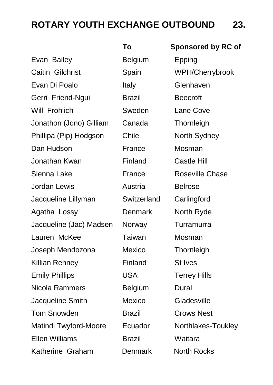# **ROTARY YOUTH EXCHANGE OUTBOUND 23.**

|                         | То            | Sponsored by RC of  |
|-------------------------|---------------|---------------------|
| Evan Bailey             | Belgium       | Epping              |
| Caitin Gilchrist        | Spain         | WPH/Cherrybrook     |
| Evan Di Poalo           | Italy         | Glenhaven           |
| Gerri Friend-Ngui       | Brazil        | <b>Beecroft</b>     |
| Will Frohlich           | Sweden        | Lane Cove           |
| Jonathon (Jono) Gilliam | Canada        | Thornleigh          |
| Phillipa (Pip) Hodgson  | Chile         | North Sydney        |
| Dan Hudson              | France        | Mosman              |
| Jonathan Kwan           | Finland       | Castle Hill         |
| Sienna Lake             | France        | Roseville Chase     |
| Jordan Lewis            | Austria       | <b>Belrose</b>      |
| Jacqueline Lillyman     | Switzerland   | Carlingford         |
| Agatha Lossy            | Denmark       | North Ryde          |
| Jacqueline (Jac) Madsen | Norway        | Turramurra          |
| Lauren McKee            | Taiwan        | Mosman              |
| Joseph Mendozona        | Mexico        | Thornleigh          |
| Killian Renney          | Finland       | St Ives             |
| <b>Emily Phillips</b>   | <b>USA</b>    | <b>Terrey Hills</b> |
| Nicola Rammers          | Belgium       | Dural               |
| Jacqueline Smith        | Mexico        | Gladesville         |
| Tom Snowden             | Brazil        | <b>Crows Nest</b>   |
| Matindi Twyford-Moore   | Ecuador       | Northlakes-Toukley  |
| Ellen Williams          | <b>Brazil</b> | Waitara             |
| Katherine Graham        | Denmark       | North Rocks         |